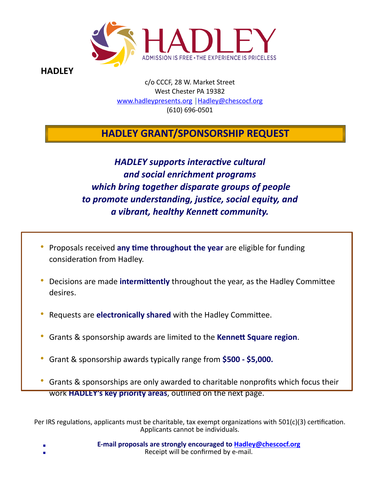

**HADLEY** 

c/o CCCF, 28 W. Market Street West Chester PA 19382 [www.hadleypresents.org](http://www.hadleypresents.org) | [Hadley@chescocf.org](mailto:Hadley@chescocf.org) (610) 696-0501

# **HADLEY GRANT/SPONSORSHIP REQUEST**

# *HADLEY supports interactive cultural and social enrichment programs which bring together disparate groups of people to promote understanding, justice, social equity, and a vibrant, healthy Kennett community.*

- Proposals received **any time throughout the year** are eligible for funding consideration from Hadley.
- Decisions are made **intermittently** throughout the year, as the Hadley Committee desires.
- Requests are **electronically shared** with the Hadley Committee.
- Grants & sponsorship awards are limited to the **Kennett Square region**.
- Grant & sponsorship awards typically range from **\$500 \$5,000.**
- Grants & sponsorships are only awarded to charitable nonprofits which focus their work **HADLEY's key priority areas**, outlined on the next page.

Per IRS regulations, applicants must be charitable, tax exempt organizations with  $501(c)(3)$  certification. Applicants cannot be individuals.

- **E-mail proposals are strongly encouraged to [Hadley@chescocf.org](mailto:Hadley@chescocf.org)** Receipt will be confirmed by e-mail.
-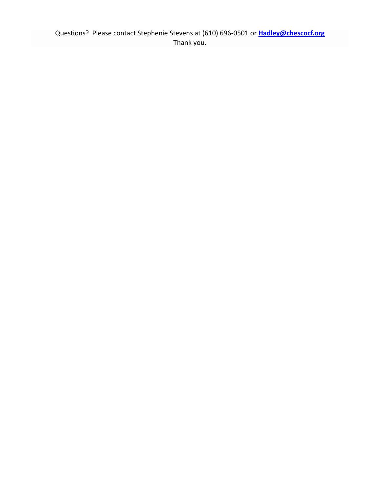Questions? Please contact Stephenie Stevens at (610) 696-0501 or **[Hadley@chescocf.org](mailto:Hadley@chescocf.org)** Thank you.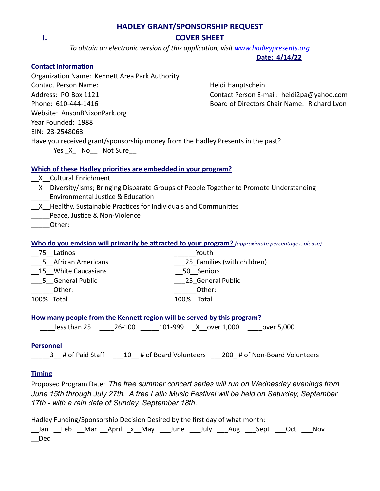### **HADLEY GRANT/SPONSORSHIP REQUEST I. COVER SHEET**

*To obtain an electronic version of this application, visit [www.hadleypresents.org](http://www.hadleypresents.org)*

#### **Date: 4/14/22**

### **Contact Information**

Organization Name: Kennett Area Park Authority Contact Person Name: Name: Heidi Hauptschein Address: PO Box 1121 Contact Person E-mail: heidi2pa@yahoo.com Phone: 610-444-1416 Board of Directors Chair Name: Richard Lyon Website: AnsonBNixonPark.org Year Founded: 1988 EIN: 23-2548063 Have you received grant/sponsorship money from the Hadley Presents in the past? Yes X No Not Sure

### **Which of these Hadley priorities are embedded in your program?**

- \_\_X\_\_Cultural Enrichment
- X Diversity/Isms; Bringing Disparate Groups of People Together to Promote Understanding \_\_\_\_\_Environmental Justice & Education
- X Healthy, Sustainable Practices for Individuals and Communities
- Peace, Justice & Non-Violence
- \_\_\_\_\_Other:

### **Who do you envision will primarily be attracted to your program?** *(approximate percentages, please)*

| Latinos<br>75       | Youth                       |
|---------------------|-----------------------------|
| 5 African Americans | 25 Families (with children) |
| 15 White Caucasians | 50 Seniors                  |
| 5 General Public    | 25 General Public           |
| Other:              | Other:                      |
| 100%<br>Total       | Total<br>100%               |

### **How many people from the Kennett region will be served by this program?**

less than 25  $26-100$   $101-999$  X over 1,000 over 5,000

### **Personnel**

\_\_\_\_\_3\_\_ # of Paid Staff \_\_\_10\_\_ # of Board Volunteers \_\_\_200\_ # of Non-Board Volunteers

### **Timing**

Proposed Program Date: *The free summer concert series will run on Wednesday evenings from June 15th through July 27th. A free Latin Music Festival will be held on Saturday, September 17th - with a rain date of Sunday, September 18th.*

Hadley Funding/Sponsorship Decision Desired by the first day of what month:

\_\_Jan \_\_Feb \_\_Mar \_\_April \_x\_\_May \_\_\_June \_\_\_July \_\_\_Aug \_\_\_Sept \_\_\_Oct \_\_\_Nov \_\_Dec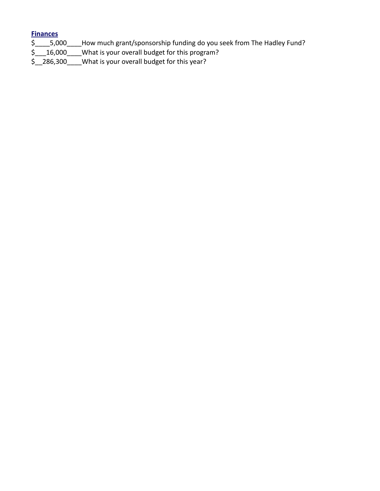### **Finances**

- \$\_\_\_\_5,000\_\_\_\_How much grant/sponsorship funding do you seek from The Hadley Fund?
- \$\_\_\_16,000\_\_\_\_What is your overall budget for this program?
- \$\_\_286,300\_\_\_\_What is your overall budget for this year?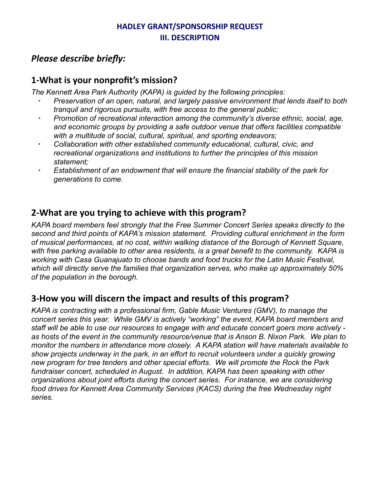## **HADLEY GRANT/SPONSORSHIP REQUEST III. DESCRIPTION**

# *Please describe briefly:*

## **1-What is your nonprofit's mission?**

*The Kennett Area Park Authority (KAPA) is guided by the following principles:*

- *Preservation of an open, natural, and largely passive environment that lends itself to both tranquil and rigorous pursuits, with free access to the general public;*
- *Promotion of recreational interaction among the community's diverse ethnic, social, age, and economic groups by providing a safe outdoor venue that offers facilities compatible with a multitude of social, cultural, spiritual, and sporting endeavors;*
- *Collaboration with other established community educational, cultural, civic, and recreational organizations and institutions to further the principles of this mission statement;*
- *Establishment of an endowment that will ensure the financial stability of the park for generations to come.*

# **2-What are you trying to achieve with this program?**

*KAPA board members feel strongly that the Free Summer Concert Series speaks directly to the second and third points of KAPA's mission statement. Providing cultural enrichment in the form of musical performances, at no cost, within walking distance of the Borough of Kennett Square, with free parking available to other area residents, is a great benefit to the community. KAPA is working with Casa Guanajuato to choose bands and food trucks for the Latin Music Festival, which will directly serve the families that organization serves, who make up approximately 50% of the population in the borough.*

# **3-How you will discern the impact and results of this program?**

*KAPA is contracting with a professional firm, Gable Music Ventures (GMV), to manage the concert series this year. While GMV is actively "working" the event, KAPA board members and staff will be able to use our resources to engage with and educate concert goers more actively as hosts of the event in the community resource/venue that is Anson B. Nixon Park. We plan to monitor the numbers in attendance more closely. A KAPA station will have materials available to show projects underway in the park, in an effort to recruit volunteers under a quickly growing new program for tree tenders and other special efforts. We will promote the Rock the Park fundraiser concert, scheduled in August. In addition, KAPA has been speaking with other organizations about joint efforts during the concert series. For instance, we are considering food drives for Kennett Area Community Services (KACS) during the free Wednesday night series.*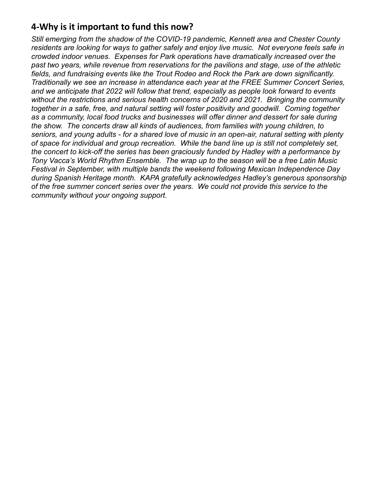# **4-Why is it important to fund this now?**

*Still emerging from the shadow of the COVID-19 pandemic, Kennett area and Chester County residents are looking for ways to gather safely and enjoy live music. Not everyone feels safe in crowded indoor venues. Expenses for Park operations have dramatically increased over the past two years, while revenue from reservations for the pavilions and stage, use of the athletic fields, and fundraising events like the Trout Rodeo and Rock the Park are down significantly. Traditionally we see an increase in attendance each year at the FREE Summer Concert Series, and we anticipate that 2022 will follow that trend, especially as people look forward to events without the restrictions and serious health concerns of 2020 and 2021. Bringing the community together in a safe, free, and natural setting will foster positivity and goodwill. Coming together as a community, local food trucks and businesses will offer dinner and dessert for sale during the show. The concerts draw all kinds of audiences, from families with young children, to seniors, and young adults - for a shared love of music in an open-air, natural setting with plenty of space for individual and group recreation. While the band line up is still not completely set, the concert to kick-off the series has been graciously funded by Hadley with a performance by Tony Vacca's World Rhythm Ensemble. The wrap up to the season will be a free Latin Music Festival in September, with multiple bands the weekend following Mexican Independence Day during Spanish Heritage month. KAPA gratefully acknowledges Hadley's generous sponsorship of the free summer concert series over the years. We could not provide this service to the community without your ongoing support.*